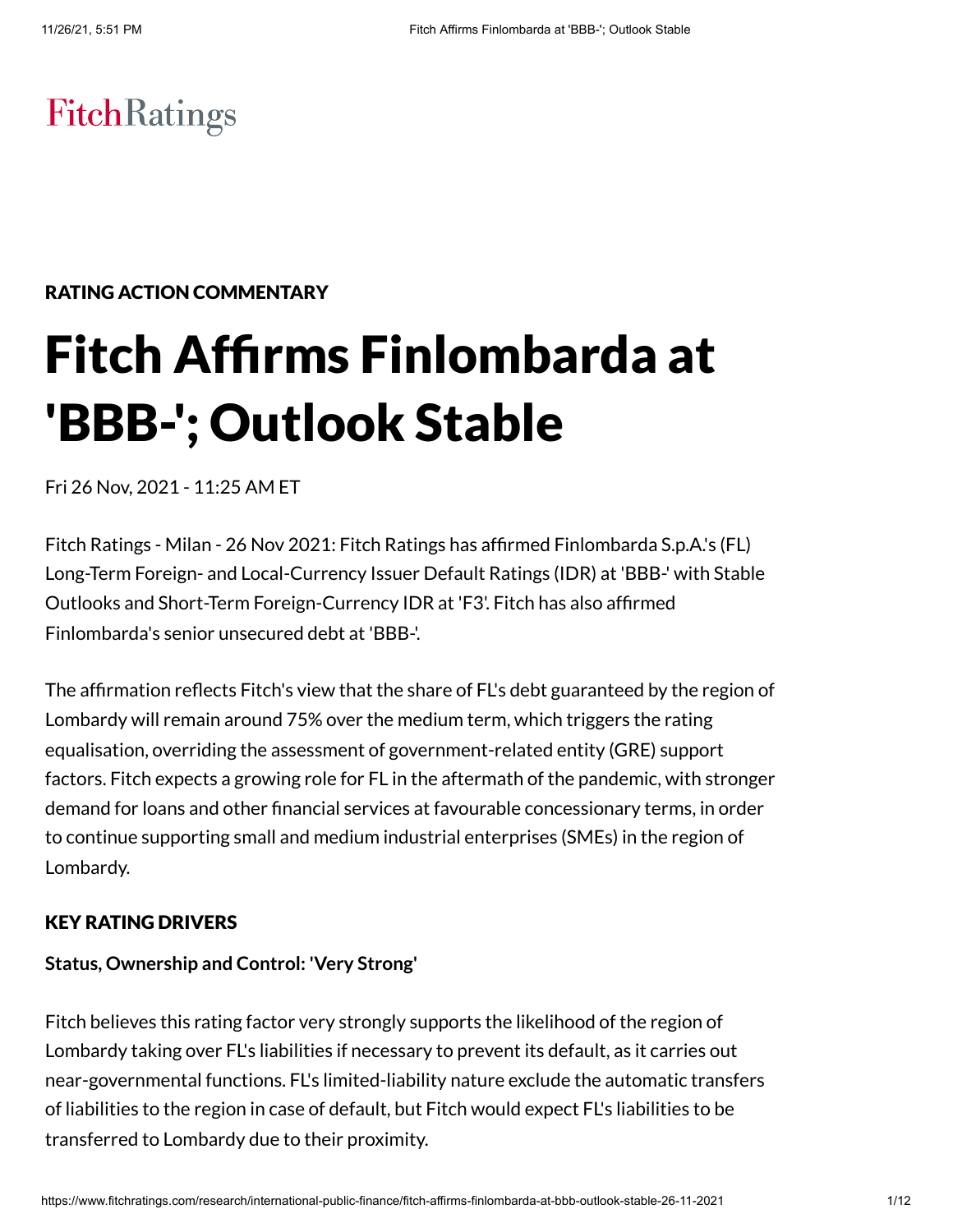# **FitchRatings**

# RATING ACTION COMMENTARY

# Fitch Affirms Finlombarda at 'BBB-'; Outlook Stable

Fri 26 Nov, 2021 - 11:25 AM ET

Fitch Ratings - Milan - 26 Nov 2021: Fitch Ratings has affirmed Finlombarda S.p.A.'s (FL) Long-Term Foreign- and Local-Currency Issuer Default Ratings (IDR) at 'BBB-' with Stable Outlooks and Short-Term Foreign-Currency IDR at 'F3'. Fitch has also affirmed Finlombarda's senior unsecured debt at 'BBB-'.

The affirmation reflects Fitch's view that the share of FL's debt guaranteed by the region of Lombardy will remain around 75% over the medium term, which triggers the rating equalisation, overriding the assessment of government-related entity (GRE) support factors. Fitch expects a growing role for FL in the aftermath of the pandemic, with stronger demand for loans and other financial services at favourable concessionary terms, in order to continue supporting small and medium industrial enterprises (SMEs) in the region of Lombardy.

#### KEY RATING DRIVERS

#### **Status, Ownership and Control: 'Very Strong'**

Fitch believes this rating factor very strongly supports the likelihood of the region of Lombardy taking over FL's liabilities if necessary to prevent its default, as it carries out near-governmental functions. FL's limited-liability nature exclude the automatic transfers of liabilities to the region in case of default, but Fitch would expect FL's liabilities to be transferred to Lombardy due to their proximity.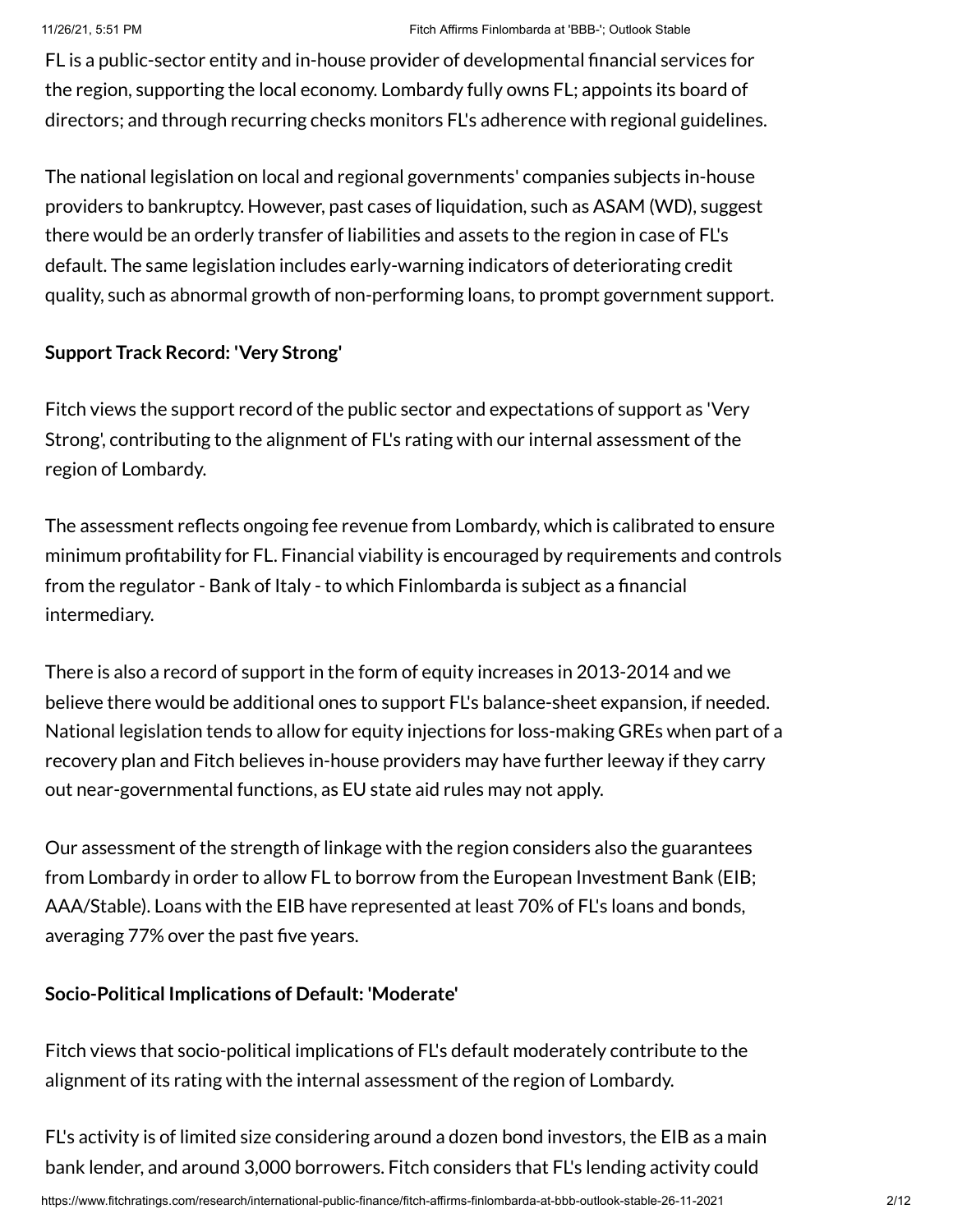FL is a public-sector entity and in-house provider of developmental financial services for the region, supporting the local economy. Lombardy fully owns FL; appoints its board of directors; and through recurring checks monitors FL's adherence with regional guidelines.

The national legislation on local and regional governments' companies subjects in-house providers to bankruptcy. However, past cases of liquidation, such as ASAM (WD), suggest there would be an orderly transfer of liabilities and assets to the region in case of FL's default. The same legislation includes early-warning indicators of deteriorating credit quality, such as abnormal growth of non-performing loans, to prompt government support.

# **Support Track Record: 'Very Strong'**

Fitch views the support record of the public sector and expectations of support as 'Very Strong', contributing to the alignment of FL's rating with our internal assessment of the region of Lombardy.

The assessment reflects ongoing fee revenue from Lombardy, which is calibrated to ensure minimum profitability for FL. Financial viability is encouraged by requirements and controls from the regulator - Bank of Italy - to which Finlombarda is subject as a financial intermediary.

There is also a record of support in the form of equity increases in 2013-2014 and we believe there would be additional ones to support FL's balance-sheet expansion, if needed. National legislation tends to allow for equity injections for loss-making GREs when part of a recovery plan and Fitch believes in-house providers may have further leeway if they carry out near-governmental functions, as EU state aid rules may not apply.

Our assessment of the strength of linkage with the region considers also the guarantees from Lombardy in order to allow FL to borrow from the European Investment Bank (EIB; AAA/Stable). Loans with the EIB have represented at least 70% of FL's loans and bonds, averaging 77% over the past five years.

# **Socio-Political Implications of Default: 'Moderate'**

Fitch views that socio-political implications of FL's default moderately contribute to the alignment of its rating with the internal assessment of the region of Lombardy.

FL's activity is of limited size considering around a dozen bond investors, the EIB as a main bank lender, and around 3,000 borrowers. Fitch considers that FL's lending activity could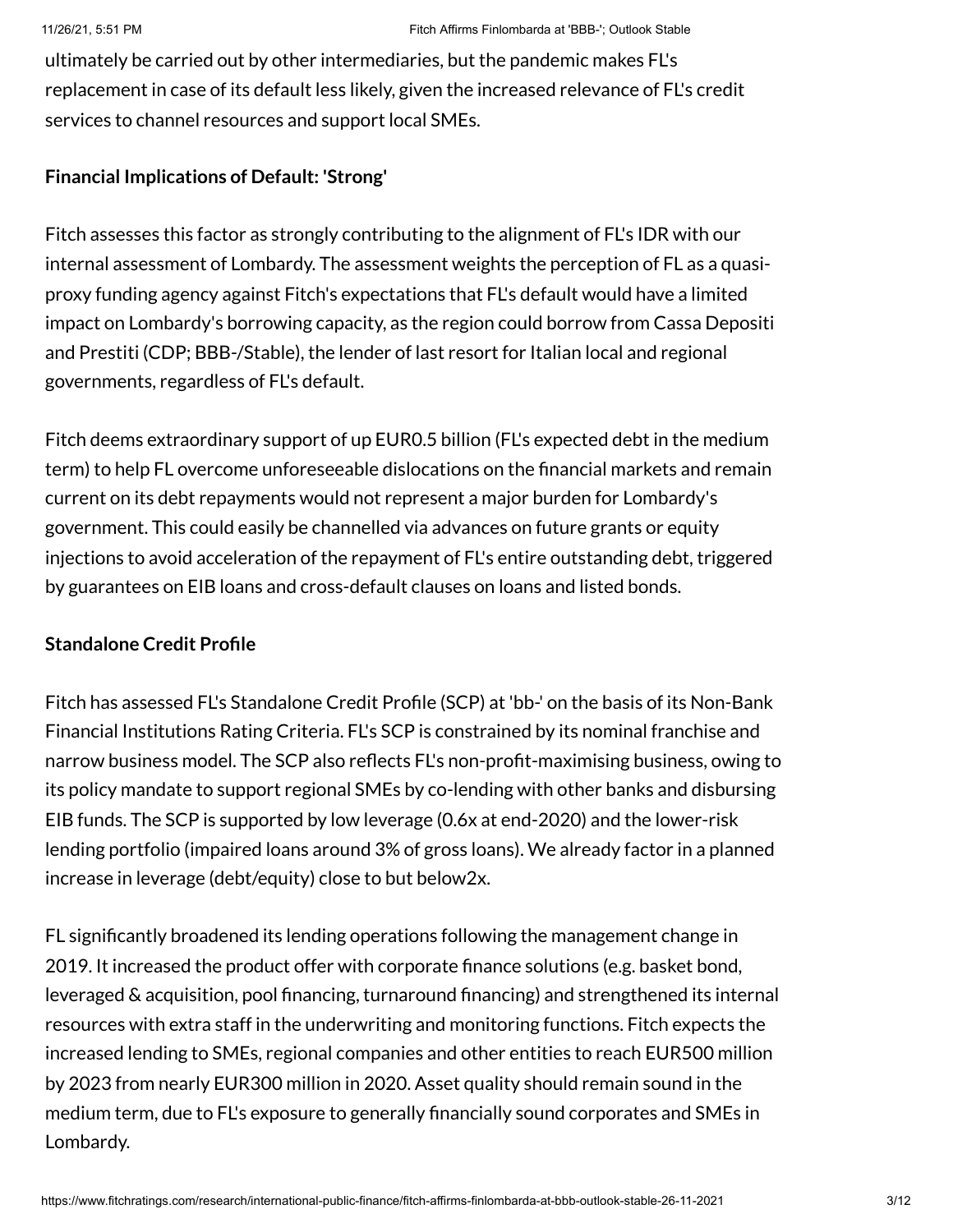ultimately be carried out by other intermediaries, but the pandemic makes FL's replacement in case of its default less likely, given the increased relevance of FL's credit services to channel resources and support local SMEs.

## **Financial Implications of Default: 'Strong'**

Fitch assesses this factor as strongly contributing to the alignment of FL's IDR with our internal assessment of Lombardy. The assessment weights the perception of FL as a quasiproxy funding agency against Fitch's expectations that FL's default would have a limited impact on Lombardy's borrowing capacity, as the region could borrow from Cassa Depositi and Prestiti (CDP; BBB-/Stable), the lender of last resort for Italian local and regional governments, regardless of FL's default.

Fitch deems extraordinary support of up EUR0.5 billion (FL's expected debt in the medium term) to help FL overcome unforeseeable dislocations on the financial markets and remain current on its debt repayments would not represent a major burden for Lombardy's government. This could easily be channelled via advances on future grants or equity injections to avoid acceleration of the repayment of FL's entire outstanding debt, triggered by guarantees on EIB loans and cross-default clauses on loans and listed bonds.

## **Standalone Credit Profile**

Fitch has assessed FL's Standalone Credit Profile (SCP) at 'bb-' on the basis of its Non-Bank Financial Institutions Rating Criteria. FL's SCP is constrained by its nominal franchise and narrow business model. The SCP also reflects FL's non-profit-maximising business, owing to its policy mandate to support regional SMEs by co-lending with other banks and disbursing EIB funds. The SCP is supported by low leverage (0.6x at end-2020) and the lower-risk lending portfolio (impaired loans around 3% of gross loans). We already factor in a planned increase in leverage (debt/equity) close to but below2x.

FL significantly broadened its lending operations following the management change in 2019. It increased the product offer with corporate finance solutions (e.g. basket bond, leveraged & acquisition, pool financing, turnaround financing) and strengthened its internal resources with extra staff in the underwriting and monitoring functions. Fitch expects the increased lending to SMEs, regional companies and other entities to reach EUR500 million by 2023 from nearly EUR300 million in 2020. Asset quality should remain sound in the medium term, due to FL's exposure to generally financially sound corporates and SMEs in Lombardy.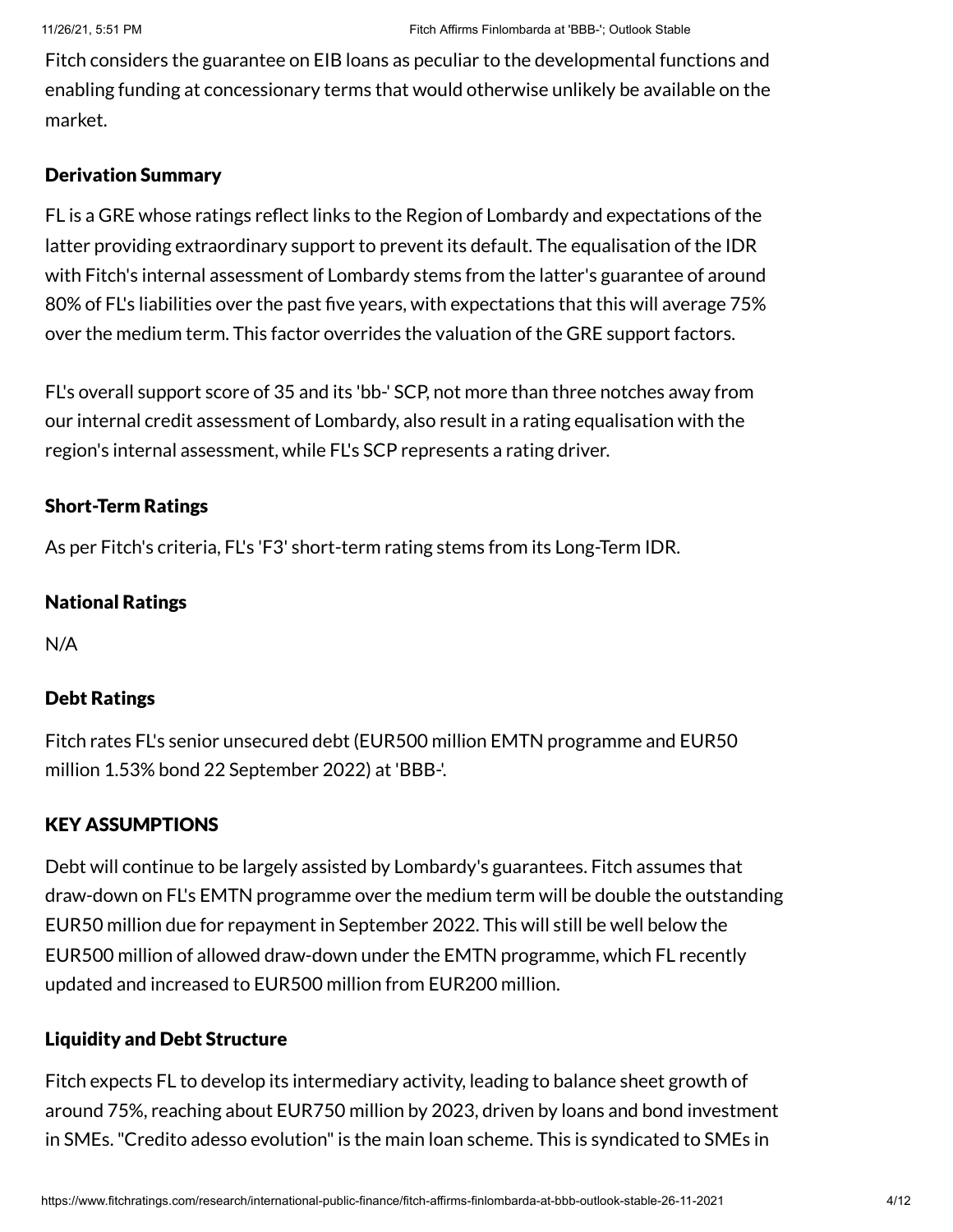Fitch considers the guarantee on EIB loans as peculiar to the developmental functions and enabling funding at concessionary terms that would otherwise unlikely be available on the market.

#### Derivation Summary

FL is a GRE whose ratings reflect links to the Region of Lombardy and expectations of the latter providing extraordinary support to prevent its default. The equalisation of the IDR with Fitch's internal assessment of Lombardy stems from the latter's guarantee of around 80% of FL's liabilities over the past five years, with expectations that this will average 75% over the medium term. This factor overrides the valuation of the GRE support factors.

FL's overall support score of 35 and its 'bb-' SCP, not more than three notches away from our internal credit assessment of Lombardy, also result in a rating equalisation with the region's internal assessment, while FL's SCP represents a rating driver.

# Short-Term Ratings

As per Fitch's criteria, FL's 'F3' short-term rating stems from its Long-Term IDR.

## National Ratings

N/A

# Debt Ratings

Fitch rates FL's senior unsecured debt (EUR500 million EMTN programme and EUR50 million 1.53% bond 22 September 2022) at 'BBB-'.

# KEY ASSUMPTIONS

Debt will continue to be largely assisted by Lombardy's guarantees. Fitch assumes that draw-down on FL's EMTN programme over the medium term will be double the outstanding EUR50 million due for repayment in September 2022. This will still be well below the EUR500 million of allowed draw-down under the EMTN programme, which FL recently updated and increased to EUR500 million from EUR200 million.

# Liquidity and Debt Structure

Fitch expects FL to develop its intermediary activity, leading to balance sheet growth of around 75%, reaching about EUR750 million by 2023, driven by loans and bond investment in SMEs. "Credito adesso evolution" is the main loan scheme. This is syndicated to SMEs in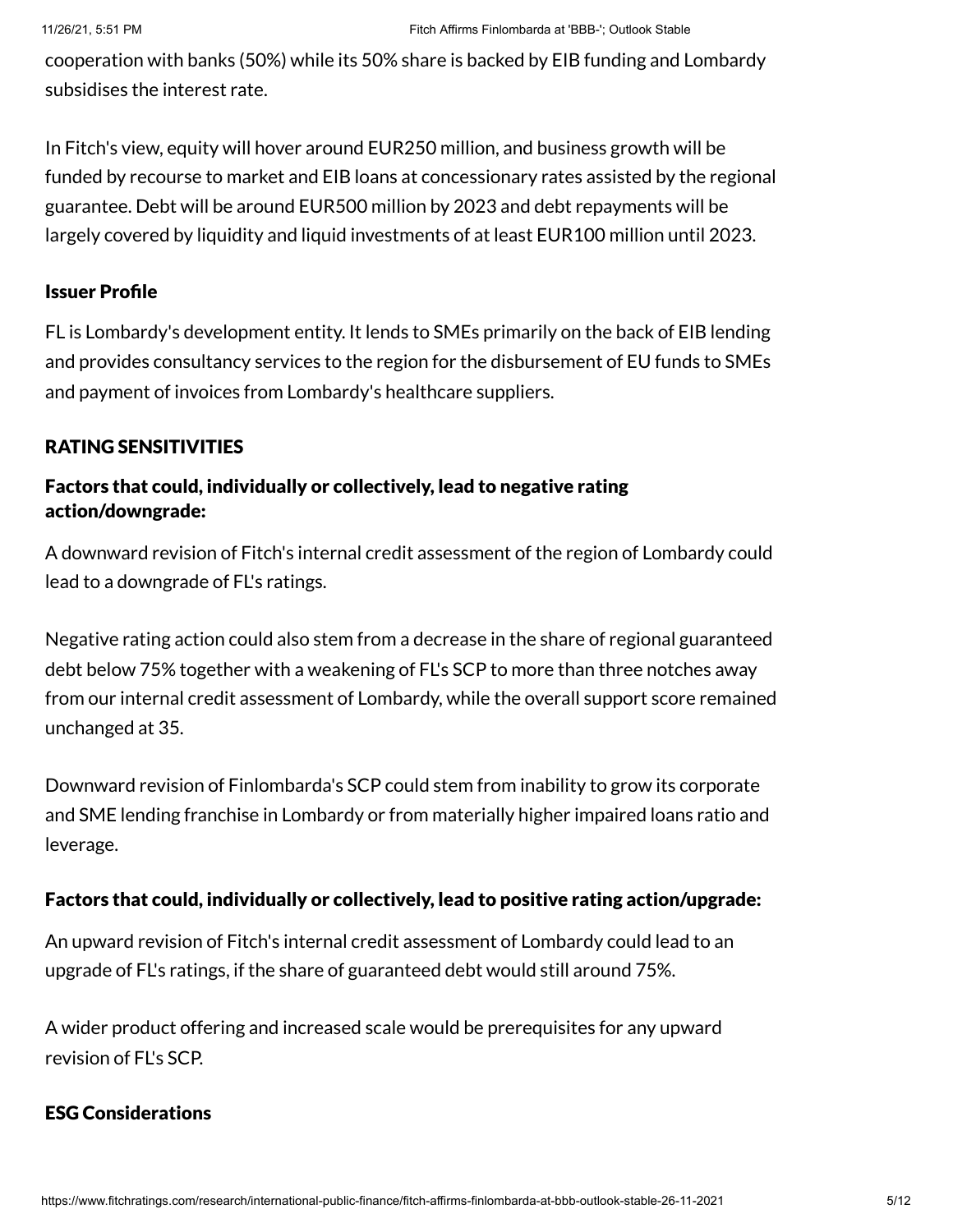cooperation with banks (50%) while its 50% share is backed by EIB funding and Lombardy subsidises the interest rate.

In Fitch's view, equity will hover around EUR250 million, and business growth will be funded by recourse to market and EIB loans at concessionary rates assisted by the regional guarantee. Debt will be around EUR500 million by 2023 and debt repayments will be largely covered by liquidity and liquid investments of at least EUR100 million until 2023.

#### Issuer Profile

FL is Lombardy's development entity. It lends to SMEs primarily on the back of EIB lending and provides consultancy services to the region for the disbursement of EU funds to SMEs and payment of invoices from Lombardy's healthcare suppliers.

#### RATING SENSITIVITIES

## Factors that could, individually or collectively, lead to negative rating action/downgrade:

A downward revision of Fitch's internal credit assessment of the region of Lombardy could lead to a downgrade of FL's ratings.

Negative rating action could also stem from a decrease in the share of regional guaranteed debt below 75% together with a weakening of FL's SCP to more than three notches away from our internal credit assessment of Lombardy, while the overall support score remained unchanged at 35.

Downward revision of Finlombarda's SCP could stem from inability to grow its corporate and SME lending franchise in Lombardy or from materially higher impaired loans ratio and leverage.

#### Factors that could, individually or collectively, lead to positive rating action/upgrade:

An upward revision of Fitch's internal credit assessment of Lombardy could lead to an upgrade of FL's ratings, if the share of guaranteed debt would still around 75%.

A wider product offering and increased scale would be prerequisites for any upward revision of FL's SCP.

#### ESG Considerations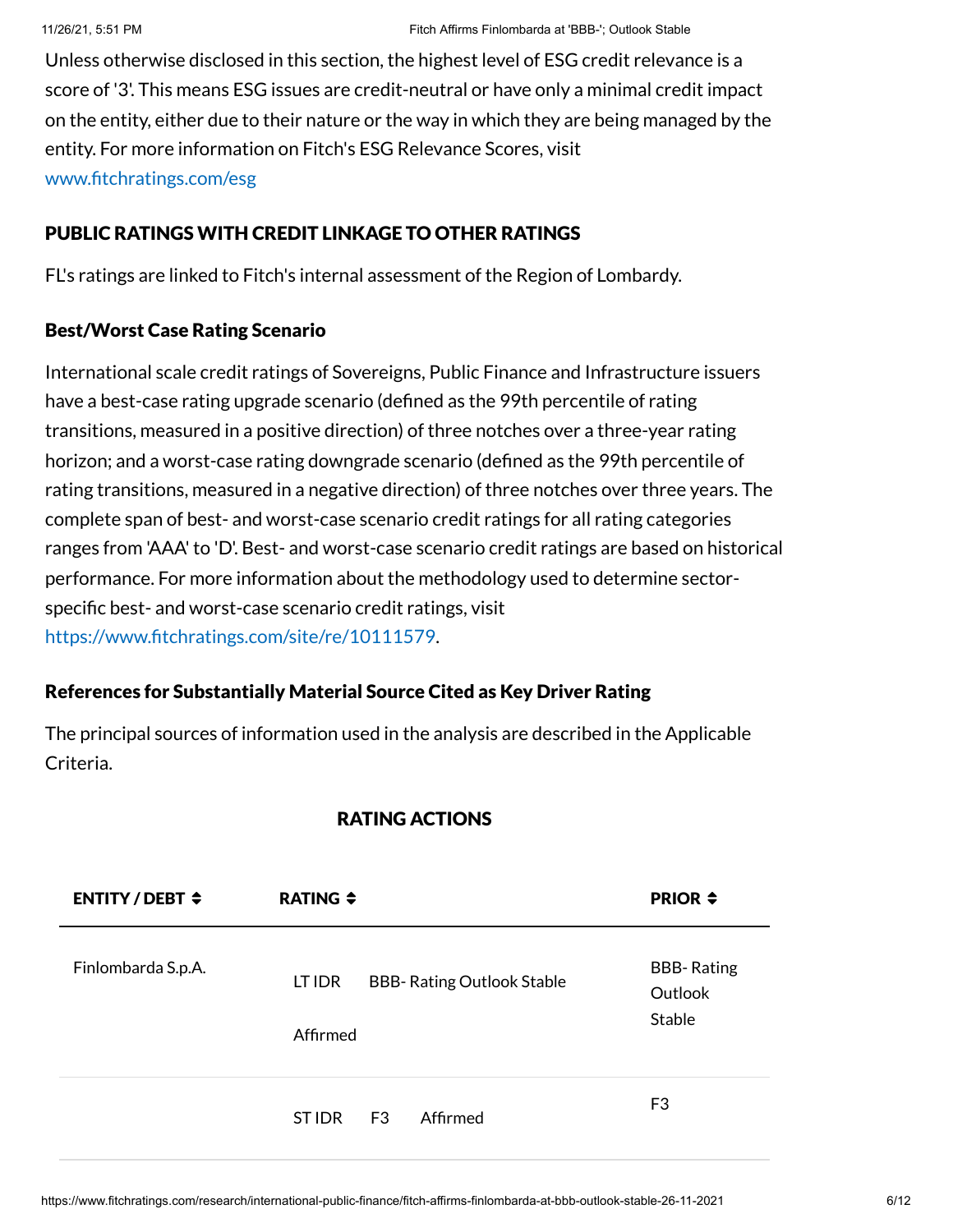Unless otherwise disclosed in this section, the highest level of ESG credit relevance is a score of '3'. This means ESG issues are credit-neutral or have only a minimal credit impact on the entity, either due to their nature or the way in which they are being managed by the entity. For more information on Fitch's ESG Relevance Scores, visit [www.fitchratings.com/esg](http://www.fitchratings.com/esg)

#### PUBLIC RATINGS WITH CREDIT LINKAGE TO OTHER RATINGS

FL's ratings are linked to Fitch's internal assessment of the Region of Lombardy.

#### Best/Worst Case Rating Scenario

International scale credit ratings of Sovereigns, Public Finance and Infrastructure issuers have a best-case rating upgrade scenario (defined as the 99th percentile of rating transitions, measured in a positive direction) of three notches over a three-year rating horizon; and a worst-case rating downgrade scenario (defined as the 99th percentile of rating transitions, measured in a negative direction) of three notches over three years. The complete span of best- and worst-case scenario credit ratings for all rating categories ranges from 'AAA' to 'D'. Best- and worst-case scenario credit ratings are based on historical performance. For more information about the methodology used to determine sectorspecific best- and worst-case scenario credit ratings, visit [https://www.fitchratings.com/site/re/10111579.](https://www.fitchratings.com/site/re/10111579)

#### References for Substantially Material Source Cited as Key Driver Rating

The principal sources of information used in the analysis are described in the Applicable Criteria.

## RATING ACTIONS

| <b>ENTITY/DEBT <math>\div</math></b> | RATING $\div$      |    |                                  | <b>PRIOR <math>\div</math></b>         |
|--------------------------------------|--------------------|----|----------------------------------|----------------------------------------|
| Finlombarda S.p.A.                   | LT IDR<br>Affirmed |    | <b>BBB-Rating Outlook Stable</b> | <b>BBB-Rating</b><br>Outlook<br>Stable |
|                                      | ST IDR             | F3 | Affirmed                         | F3                                     |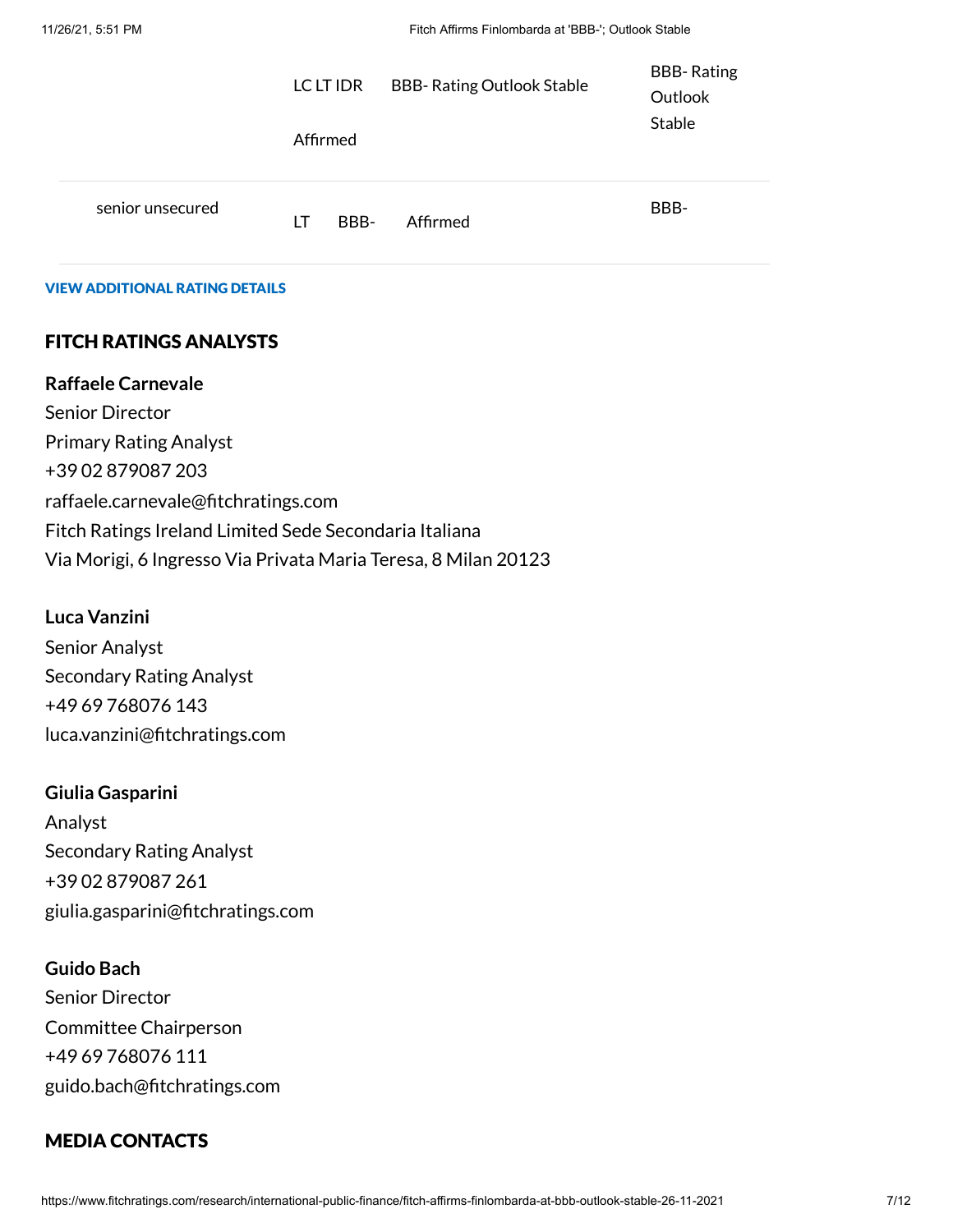|                  | LC LT IDR<br>Affirmed | <b>BBB- Rating Outlook Stable</b> | <b>BBB-Rating</b><br>Outlook<br>Stable |
|------------------|-----------------------|-----------------------------------|----------------------------------------|
| senior unsecured | BBB-<br>LT            | Affirmed                          | BBB-                                   |

#### VIEW ADDITIONAL RATING DETAILS

#### FITCH RATINGS ANALYSTS

#### **Raffaele Carnevale**

Senior Director Primary Rating Analyst +39 02 879087 203 raffaele.carnevale@fitchratings.com Fitch Ratings Ireland Limited Sede Secondaria Italiana Via Morigi, 6 Ingresso Via Privata Maria Teresa, 8 Milan 20123

#### **Luca Vanzini**

Senior Analyst Secondary Rating Analyst +49 69 768076 143 luca.vanzini@fitchratings.com

#### **Giulia Gasparini**

Analyst Secondary Rating Analyst +39 02 879087 261 giulia.gasparini@fitchratings.com

#### **Guido Bach**

Senior Director Committee Chairperson +49 69 768076 111 guido.bach@fitchratings.com

#### MEDIA CONTACTS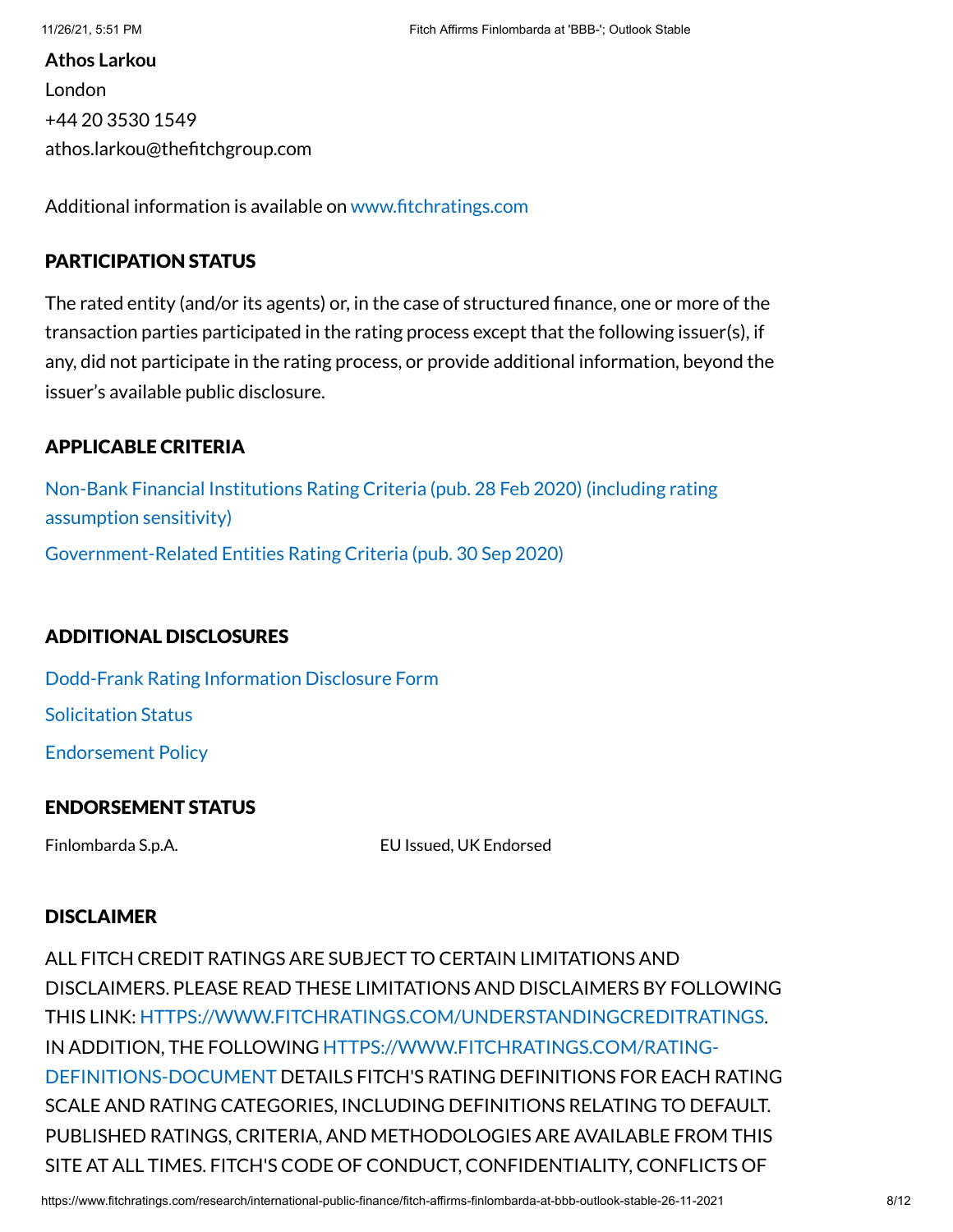**Athos Larkou** London +44 20 3530 1549 athos.larkou@thefitchgroup.com

Additional information is available on [www.fitchratings.com](http://www.fitchratings.com/)

#### PARTICIPATION STATUS

The rated entity (and/or its agents) or, in the case of structured finance, one or more of the transaction parties participated in the rating process except that the following issuer(s), if any, did not participate in the rating process, or provide additional information, beyond the issuer's available public disclosure.

#### APPLICABLE CRITERIA

Non-Bank Financial Institutions Rating Criteria (pub. 28 Feb 2020) (including rating [assumption](https://www.fitchratings.com/research/non-bank-financial-institutions/non-bank-financial-institutions-rating-criteria-28-02-2020) sensitivity) [Government-Related Entities](https://www.fitchratings.com/research/international-public-finance/government-related-entities-rating-criteria-30-09-2020) Rating Criteria (pub. 30 Sep 2020)

## ADDITIONAL DISCLOSURES

[Dodd-Frank](https://www.fitchratings.com/research/international-public-finance/fitch-affirms-finlombarda-at-bbb-outlook-stable-26-11-2021/dodd-frank-disclosure) Rating Information Disclosure Form Solicitation Status [Endorsement](#page-10-0) Policy

## ENDORSEMENT STATUS

Finlombarda S.p.A. EU Issued, UK Endorsed

#### DISCLAIMER

ALL FITCH CREDIT RATINGS ARE SUBJECT TO CERTAIN LIMITATIONS AND DISCLAIMERS. PLEASE READ THESE LIMITATIONS AND DISCLAIMERS BY FOLLOWING THIS LINK: [HTTPS://WWW.FITCHRATINGS.COM/UNDERSTANDINGCREDITRATINGS](https://www.fitchratings.com/UNDERSTANDINGCREDITRATINGS). IN ADDITION, THE FOLLOWING [HTTPS://WWW.FITCHRATINGS.COM/RATING-](https://www.fitchratings.com/rating-definitions-document)DEFINITIONS-DOCUMENT DETAILS FITCH'S RATING DEFINITIONS FOR EACH RATING SCALE AND RATING CATEGORIES, INCLUDING DEFINITIONS RELATING TO DEFAULT. PUBLISHED RATINGS, CRITERIA, AND METHODOLOGIES ARE AVAILABLE FROM THIS SITE AT ALL TIMES. FITCH'S CODE OF CONDUCT, CONFIDENTIALITY, CONFLICTS OF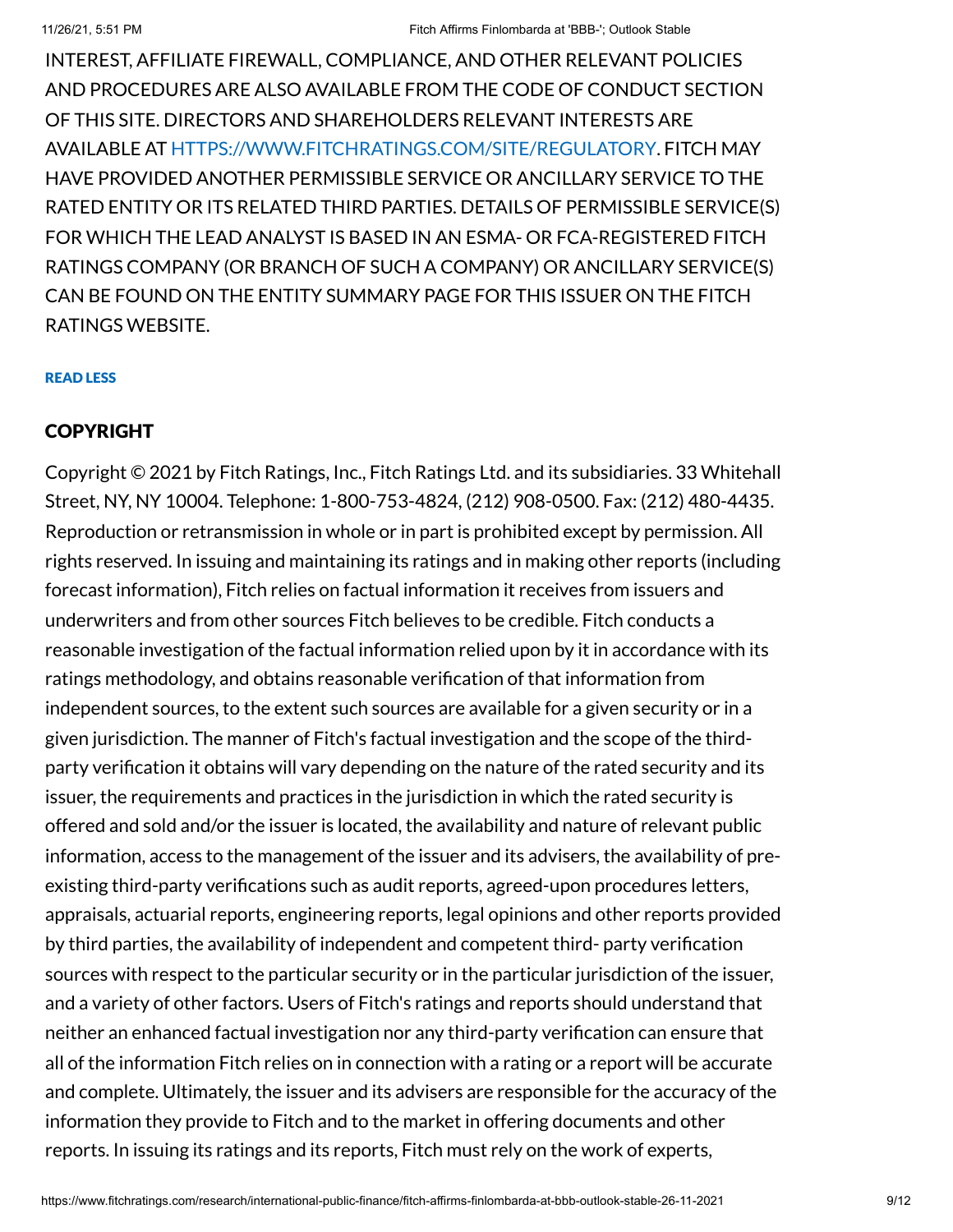INTEREST, AFFILIATE FIREWALL, COMPLIANCE, AND OTHER RELEVANT POLICIES AND PROCEDURES ARE ALSO AVAILABLE FROM THE CODE OF CONDUCT SECTION OF THIS SITE. DIRECTORS AND SHAREHOLDERS RELEVANT INTERESTS ARE AVAILABLE AT [HTTPS://WWW.FITCHRATINGS.COM/SITE/REGULATORY](https://www.fitchratings.com/site/regulatory). FITCH MAY HAVE PROVIDED ANOTHER PERMISSIBLE SERVICE OR ANCILLARY SERVICE TO THE RATED ENTITY OR ITS RELATED THIRD PARTIES. DETAILS OF PERMISSIBLE SERVICE(S) FOR WHICH THE LEAD ANALYST IS BASED IN AN ESMA- OR FCA-REGISTERED FITCH RATINGS COMPANY (OR BRANCH OF SUCH A COMPANY) OR ANCILLARY SERVICE(S) CAN BE FOUND ON THE ENTITY SUMMARY PAGE FOR THIS ISSUER ON THE FITCH RATINGS WEBSITE.

#### READ LESS

#### COPYRIGHT

Copyright © 2021 by Fitch Ratings, Inc., Fitch Ratings Ltd. and its subsidiaries. 33 Whitehall Street, NY, NY 10004. Telephone: 1-800-753-4824, (212) 908-0500. Fax: (212) 480-4435. Reproduction or retransmission in whole or in part is prohibited except by permission. All rights reserved. In issuing and maintaining its ratings and in making other reports (including forecast information), Fitch relies on factual information it receives from issuers and underwriters and from other sources Fitch believes to be credible. Fitch conducts a reasonable investigation of the factual information relied upon by it in accordance with its ratings methodology, and obtains reasonable verification of that information from independent sources, to the extent such sources are available for a given security or in a given jurisdiction. The manner of Fitch's factual investigation and the scope of the thirdparty verification it obtains will vary depending on the nature of the rated security and its issuer, the requirements and practices in the jurisdiction in which the rated security is offered and sold and/or the issuer is located, the availability and nature of relevant public information, access to the management of the issuer and its advisers, the availability of preexisting third-party verifications such as audit reports, agreed-upon procedures letters, appraisals, actuarial reports, engineering reports, legal opinions and other reports provided by third parties, the availability of independent and competent third- party verification sources with respect to the particular security or in the particular jurisdiction of the issuer, and a variety of other factors. Users of Fitch's ratings and reports should understand that neither an enhanced factual investigation nor any third-party verification can ensure that all of the information Fitch relies on in connection with a rating or a report will be accurate and complete. Ultimately, the issuer and its advisers are responsible for the accuracy of the information they provide to Fitch and to the market in offering documents and other reports. In issuing its ratings and its reports, Fitch must rely on the work of experts,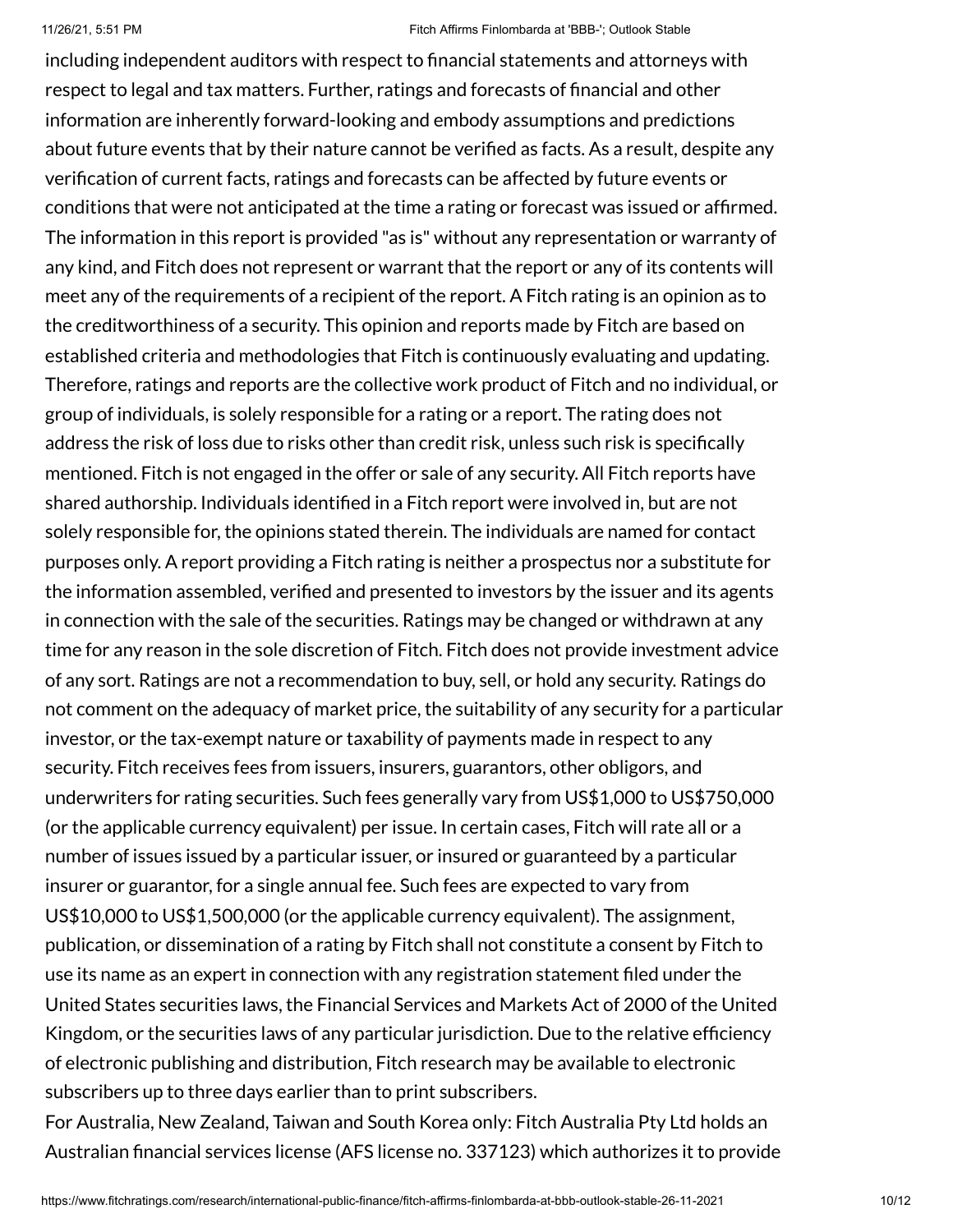including independent auditors with respect to financial statements and attorneys with respect to legal and tax matters. Further, ratings and forecasts of financial and other information are inherently forward-looking and embody assumptions and predictions about future events that by their nature cannot be verified as facts. As a result, despite any verification of current facts, ratings and forecasts can be affected by future events or conditions that were not anticipated at the time a rating or forecast was issued or affirmed. The information in this report is provided "as is" without any representation or warranty of any kind, and Fitch does not represent or warrant that the report or any of its contents will meet any of the requirements of a recipient of the report. A Fitch rating is an opinion as to the creditworthiness of a security. This opinion and reports made by Fitch are based on established criteria and methodologies that Fitch is continuously evaluating and updating. Therefore, ratings and reports are the collective work product of Fitch and no individual, or group of individuals, is solely responsible for a rating or a report. The rating does not address the risk of loss due to risks other than credit risk, unless such risk is specifically mentioned. Fitch is not engaged in the offer or sale of any security. All Fitch reports have shared authorship. Individuals identified in a Fitch report were involved in, but are not solely responsible for, the opinions stated therein. The individuals are named for contact purposes only. A report providing a Fitch rating is neither a prospectus nor a substitute for the information assembled, verified and presented to investors by the issuer and its agents in connection with the sale of the securities. Ratings may be changed or withdrawn at any time for any reason in the sole discretion of Fitch. Fitch does not provide investment advice of any sort. Ratings are not a recommendation to buy, sell, or hold any security. Ratings do not comment on the adequacy of market price, the suitability of any security for a particular investor, or the tax-exempt nature or taxability of payments made in respect to any security. Fitch receives fees from issuers, insurers, guarantors, other obligors, and underwriters for rating securities. Such fees generally vary from US\$1,000 to US\$750,000 (or the applicable currency equivalent) per issue. In certain cases, Fitch will rate all or a number of issues issued by a particular issuer, or insured or guaranteed by a particular insurer or guarantor, for a single annual fee. Such fees are expected to vary from US\$10,000 to US\$1,500,000 (or the applicable currency equivalent). The assignment, publication, or dissemination of a rating by Fitch shall not constitute a consent by Fitch to use its name as an expert in connection with any registration statement filed under the United States securities laws, the Financial Services and Markets Act of 2000 of the United Kingdom, or the securities laws of any particular jurisdiction. Due to the relative efficiency of electronic publishing and distribution, Fitch research may be available to electronic subscribers up to three days earlier than to print subscribers.

For Australia, New Zealand, Taiwan and South Korea only: Fitch Australia Pty Ltd holds an Australian financial services license (AFS license no. 337123) which authorizes it to provide